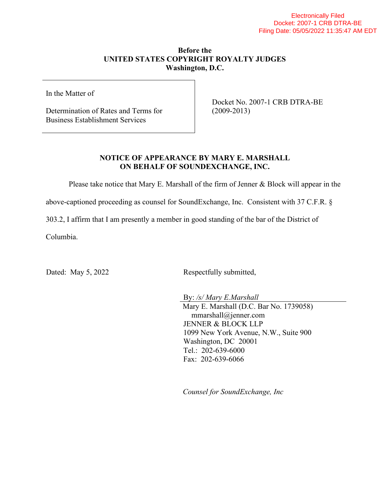## **Before the UNITED STATES COPYRIGHT ROYALTY JUDGES Washington, D.C.**

In the Matter of

Determination of Rates and Terms for Business Establishment Services

Docket No. 2007-1 CRB DTRA-BE (2009-2013)

## **NOTICE OF APPEARANCE BY MARY E. MARSHALL ON BEHALF OF SOUNDEXCHANGE, INC.**

Please take notice that Mary E. Marshall of the firm of Jenner & Block will appear in the

above-captioned proceeding as counsel for SoundExchange, Inc. Consistent with 37 C.F.R. §

303.2, I affirm that I am presently a member in good standing of the bar of the District of

Columbia.

Dated: May 5, 2022 Respectfully submitted,

By: */s/ Mary E.Marshall* Mary E. Marshall (D.C. Bar No. 1739058) mmarshall@jenner.com JENNER & BLOCK LLP 1099 New York Avenue, N.W., Suite 900 Washington, DC 20001 Tel.: 202-639-6000 Fax: 202-639-6066

*Counsel for SoundExchange, Inc*